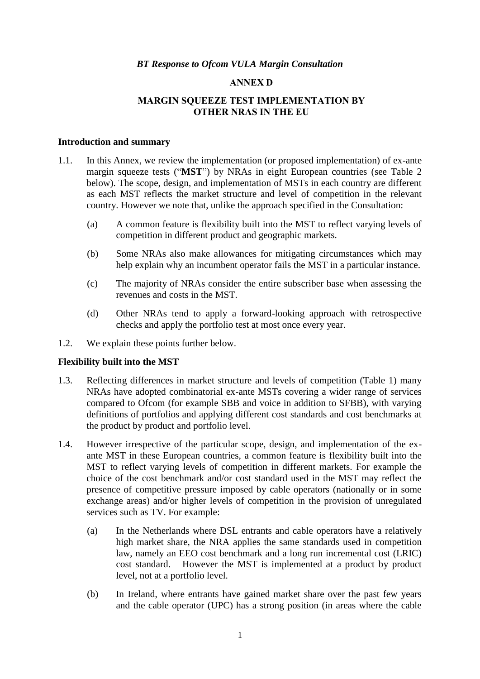#### **ANNEX D**

## **MARGIN SQUEEZE TEST IMPLEMENTATION BY OTHER NRAS IN THE EU**

#### **Introduction and summary**

- 1.1. In this Annex, we review the implementation (or proposed implementation) of ex-ante margin squeeze tests ("**MST**") by NRAs in eight European countries (see Table 2 below). The scope, design, and implementation of MSTs in each country are different as each MST reflects the market structure and level of competition in the relevant country. However we note that, unlike the approach specified in the Consultation:
	- (a) A common feature is flexibility built into the MST to reflect varying levels of competition in different product and geographic markets.
	- (b) Some NRAs also make allowances for mitigating circumstances which may help explain why an incumbent operator fails the MST in a particular instance.
	- (c) The majority of NRAs consider the entire subscriber base when assessing the revenues and costs in the MST.
	- (d) Other NRAs tend to apply a forward-looking approach with retrospective checks and apply the portfolio test at most once every year.
- 1.2. We explain these points further below.

#### **Flexibility built into the MST**

- 1.3. Reflecting differences in market structure and levels of competition (Table 1) many NRAs have adopted combinatorial ex-ante MSTs covering a wider range of services compared to Ofcom (for example SBB and voice in addition to SFBB), with varying definitions of portfolios and applying different cost standards and cost benchmarks at the product by product and portfolio level.
- 1.4. However irrespective of the particular scope, design, and implementation of the exante MST in these European countries, a common feature is flexibility built into the MST to reflect varying levels of competition in different markets. For example the choice of the cost benchmark and/or cost standard used in the MST may reflect the presence of competitive pressure imposed by cable operators (nationally or in some exchange areas) and/or higher levels of competition in the provision of unregulated services such as TV. For example:
	- (a) In the Netherlands where DSL entrants and cable operators have a relatively high market share, the NRA applies the same standards used in competition law, namely an EEO cost benchmark and a long run incremental cost (LRIC) cost standard. However the MST is implemented at a product by product level, not at a portfolio level.
	- (b) In Ireland, where entrants have gained market share over the past few years and the cable operator (UPC) has a strong position (in areas where the cable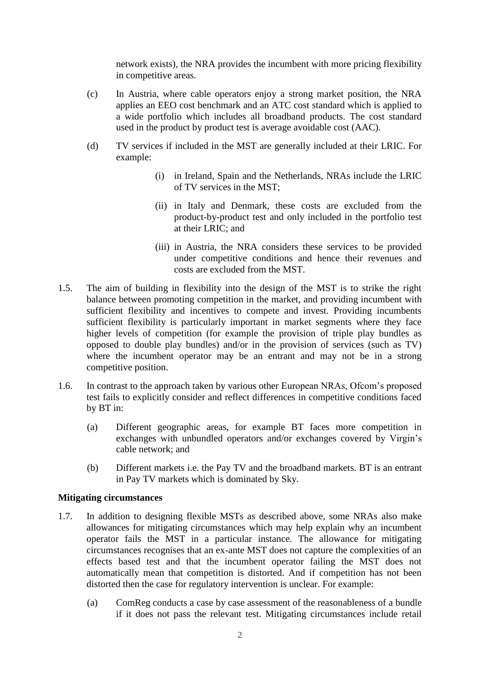network exists), the NRA provides the incumbent with more pricing flexibility in competitive areas.

- (c) In Austria, where cable operators enjoy a strong market position, the NRA applies an EEO cost benchmark and an ATC cost standard which is applied to a wide portfolio which includes all broadband products. The cost standard used in the product by product test is average avoidable cost (AAC).
- (d) TV services if included in the MST are generally included at their LRIC. For example:
	- (i) in Ireland, Spain and the Netherlands, NRAs include the LRIC of TV services in the MST;
	- (ii) in Italy and Denmark, these costs are excluded from the product-by-product test and only included in the portfolio test at their LRIC; and
	- (iii) in Austria, the NRA considers these services to be provided under competitive conditions and hence their revenues and costs are excluded from the MST.
- 1.5. The aim of building in flexibility into the design of the MST is to strike the right balance between promoting competition in the market, and providing incumbent with sufficient flexibility and incentives to compete and invest. Providing incumbents sufficient flexibility is particularly important in market segments where they face higher levels of competition (for example the provision of triple play bundles as opposed to double play bundles) and/or in the provision of services (such as TV) where the incumbent operator may be an entrant and may not be in a strong competitive position.
- 1.6. In contrast to the approach taken by various other European NRAs, Ofcom's proposed test fails to explicitly consider and reflect differences in competitive conditions faced by BT in:
	- (a) Different geographic areas, for example BT faces more competition in exchanges with unbundled operators and/or exchanges covered by Virgin's cable network; and
	- (b) Different markets i.e. the Pay TV and the broadband markets. BT is an entrant in Pay TV markets which is dominated by Sky.

### **Mitigating circumstances**

- 1.7. In addition to designing flexible MSTs as described above, some NRAs also make allowances for mitigating circumstances which may help explain why an incumbent operator fails the MST in a particular instance. The allowance for mitigating circumstances recognises that an ex-ante MST does not capture the complexities of an effects based test and that the incumbent operator failing the MST does not automatically mean that competition is distorted. And if competition has not been distorted then the case for regulatory intervention is unclear. For example:
	- (a) ComReg conducts a case by case assessment of the reasonableness of a bundle if it does not pass the relevant test. Mitigating circumstances include retail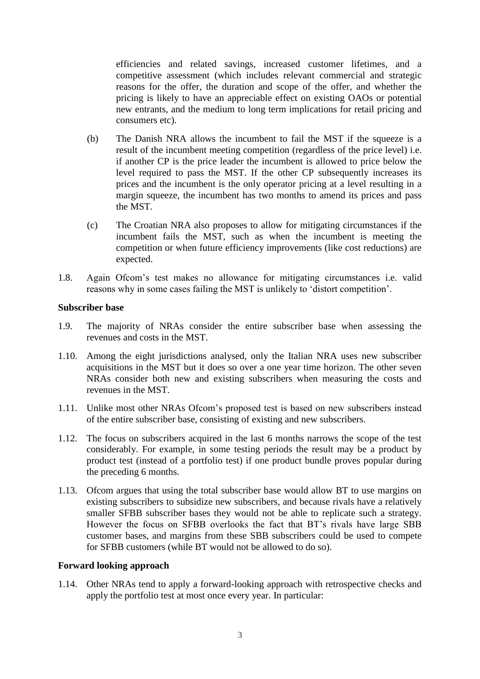efficiencies and related savings, increased customer lifetimes, and a competitive assessment (which includes relevant commercial and strategic reasons for the offer, the duration and scope of the offer, and whether the pricing is likely to have an appreciable effect on existing OAOs or potential new entrants, and the medium to long term implications for retail pricing and consumers etc).

- (b) The Danish NRA allows the incumbent to fail the MST if the squeeze is a result of the incumbent meeting competition (regardless of the price level) i.e. if another CP is the price leader the incumbent is allowed to price below the level required to pass the MST. If the other CP subsequently increases its prices and the incumbent is the only operator pricing at a level resulting in a margin squeeze, the incumbent has two months to amend its prices and pass the MST.
- (c) The Croatian NRA also proposes to allow for mitigating circumstances if the incumbent fails the MST, such as when the incumbent is meeting the competition or when future efficiency improvements (like cost reductions) are expected.
- 1.8. Again Ofcom's test makes no allowance for mitigating circumstances i.e. valid reasons why in some cases failing the MST is unlikely to 'distort competition'.

### **Subscriber base**

- 1.9. The majority of NRAs consider the entire subscriber base when assessing the revenues and costs in the MST.
- 1.10. Among the eight jurisdictions analysed, only the Italian NRA uses new subscriber acquisitions in the MST but it does so over a one year time horizon. The other seven NRAs consider both new and existing subscribers when measuring the costs and revenues in the MST.
- 1.11. Unlike most other NRAs Ofcom's proposed test is based on new subscribers instead of the entire subscriber base, consisting of existing and new subscribers.
- 1.12. The focus on subscribers acquired in the last 6 months narrows the scope of the test considerably. For example, in some testing periods the result may be a product by product test (instead of a portfolio test) if one product bundle proves popular during the preceding 6 months.
- 1.13. Ofcom argues that using the total subscriber base would allow BT to use margins on existing subscribers to subsidize new subscribers, and because rivals have a relatively smaller SFBB subscriber bases they would not be able to replicate such a strategy. However the focus on SFBB overlooks the fact that BT's rivals have large SBB customer bases, and margins from these SBB subscribers could be used to compete for SFBB customers (while BT would not be allowed to do so).

### **Forward looking approach**

1.14. Other NRAs tend to apply a forward-looking approach with retrospective checks and apply the portfolio test at most once every year. In particular: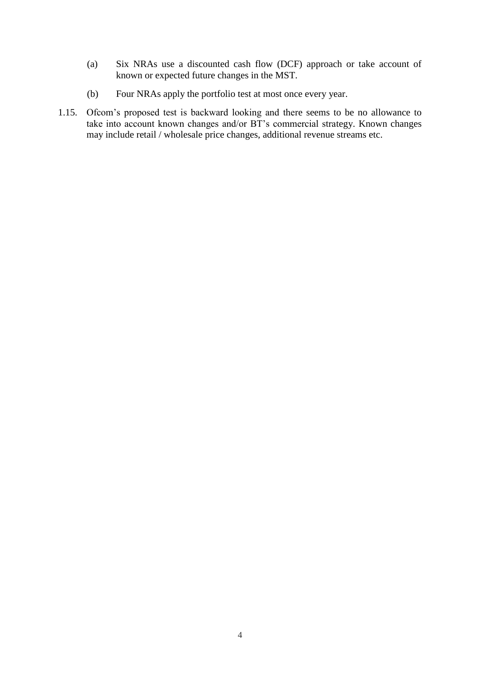- (a) Six NRAs use a discounted cash flow (DCF) approach or take account of known or expected future changes in the MST.
- (b) Four NRAs apply the portfolio test at most once every year.
- 1.15. Ofcom's proposed test is backward looking and there seems to be no allowance to take into account known changes and/or BT's commercial strategy. Known changes may include retail / wholesale price changes, additional revenue streams etc.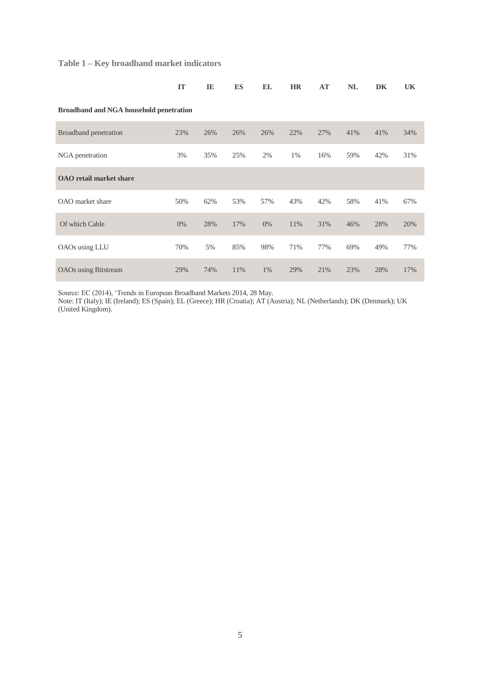# **Table 1 – Key broadband market indicators**

|                                                | <b>IT</b> | IE  | <b>ES</b> | <b>EL</b> | <b>HR</b> | AT  | <b>NL</b> | DK  | UK  |
|------------------------------------------------|-----------|-----|-----------|-----------|-----------|-----|-----------|-----|-----|
| <b>Broadband and NGA household penetration</b> |           |     |           |           |           |     |           |     |     |
| Broadband penetration                          | 23%       | 26% | 26%       | 26%       | 22%       | 27% | 41%       | 41% | 34% |
| NGA penetration                                | 3%        | 35% | 25%       | 2%        | 1%        | 16% | 59%       | 42% | 31% |
| <b>OAO</b> retail market share                 |           |     |           |           |           |     |           |     |     |
| OAO market share                               | 50%       | 62% | 53%       | 57%       | 43%       | 42% | 58%       | 41% | 67% |
| Of which Cable                                 | 0%        | 28% | 17%       | 0%        | 11%       | 31% | 46%       | 28% | 20% |
| OAOs using LLU                                 | 70%       | 5%  | 85%       | 98%       | 71%       | 77% | 69%       | 49% | 77% |
| <b>OAOs</b> using Bitstream                    | 29%       | 74% | 11%       | $1\%$     | 29%       | 21% | 23%       | 28% | 17% |

Source: EC (2014), 'Trends in European Broadband Markets 2014, 28 May.

Note: IT (Italy); IE (Ireland); ES (Spain); EL (Greece); HR (Croatia); AT (Austria); NL (Netherlands); DK (Denmark); UK (United Kingdom).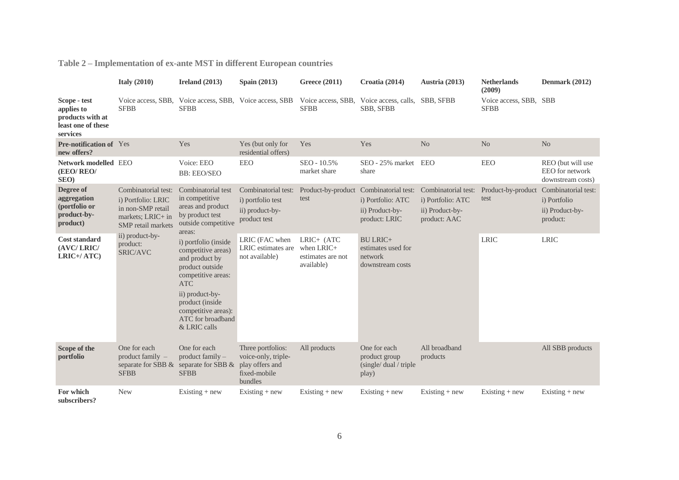**Table 2 – Implementation of ex-ante MST in different European countries**

|                                                                                  | Italy $(2010)$                                                                                            | Ireland $(2013)$                                                                                                                                                                                                      | <b>Spain (2013)</b>                                                                    | <b>Greece (2011)</b>                                          | Croatia (2014)                                                                                  | Austria (2013)                                                              | <b>Netherlands</b><br>(2009)          | Denmark (2012)                                                     |
|----------------------------------------------------------------------------------|-----------------------------------------------------------------------------------------------------------|-----------------------------------------------------------------------------------------------------------------------------------------------------------------------------------------------------------------------|----------------------------------------------------------------------------------------|---------------------------------------------------------------|-------------------------------------------------------------------------------------------------|-----------------------------------------------------------------------------|---------------------------------------|--------------------------------------------------------------------|
| Scope - test<br>applies to<br>products with at<br>least one of these<br>services | <b>SFBB</b>                                                                                               | Voice access, SBB, Voice access, SBB, Voice access, SBB<br><b>SFBB</b>                                                                                                                                                |                                                                                        | <b>SFBB</b>                                                   | Voice access, SBB, Voice access, calls, SBB, SFBB<br><b>SBB, SFBB</b>                           |                                                                             | Voice access, SBB, SBB<br><b>SFBB</b> |                                                                    |
| <b>Pre-notification of</b> Yes<br>new offers?                                    |                                                                                                           | Yes                                                                                                                                                                                                                   | Yes (but only for<br>residential offers)                                               | Yes                                                           | Yes                                                                                             | No                                                                          | N <sub>o</sub>                        | N <sub>o</sub>                                                     |
| Network modelled EEO<br>(EEO/REO/<br>SEO)                                        |                                                                                                           | Voice: EEO<br><b>BB: EEO/SEO</b>                                                                                                                                                                                      | EEO                                                                                    | SEO - 10.5%<br>market share                                   | SEO - 25% market<br>share                                                                       | <b>EEO</b>                                                                  | <b>EEO</b>                            | REO (but will use<br>EEO for network<br>downstream costs)          |
| Degree of<br>aggregation<br>(portfolio or<br>product-by-<br>product)             | Combinatorial test:<br>i) Portfolio: LRIC<br>in non-SMP retail<br>markets; LRIC+ in<br>SMP retail markets | Combinatorial test<br>in competitive<br>areas and product<br>by product test<br>outside competitive<br>areas:                                                                                                         | Combinatorial test:<br>i) portfolio test<br>ii) product-by-<br>product test            | test                                                          | Product-by-product Combinatorial test:<br>i) Portfolio: ATC<br>ii) Product-by-<br>product: LRIC | Combinatorial test:<br>i) Portfolio: ATC<br>ii) Product-by-<br>product: AAC | Product-by-product<br>test            | Combinatorial test:<br>i) Portfolio<br>ii) Product-by-<br>product: |
| <b>Cost standard</b><br>(AVC/LRIC/<br>LRIC+/ATC)                                 | ii) product-by-<br>product:<br>SRIC/AVC                                                                   | i) portfolio (inside<br>competitive areas)<br>and product by<br>product outside<br>competitive areas:<br><b>ATC</b><br>ii) product-by-<br>product (inside<br>competitive areas):<br>ATC for broadband<br>& LRIC calls | LRIC (FAC when<br>LRIC estimates are<br>not available)                                 | LRIC+ (ATC<br>when $LRIC+$<br>estimates are not<br>available) | <b>BU LRIC+</b><br>estimates used for<br>network<br>downstream costs                            |                                                                             | <b>LRIC</b>                           | <b>LRIC</b>                                                        |
| Scope of the<br>portfolio                                                        | One for each<br>product family $-$<br><b>SFBB</b>                                                         | One for each<br>product family -<br>separate for SBB $\&$ separate for SBB $\&$<br><b>SFBB</b>                                                                                                                        | Three portfolios:<br>voice-only, triple-<br>play offers and<br>fixed-mobile<br>bundles | All products                                                  | One for each<br>product group<br>(single/dual/triple)<br>play)                                  | All broadband<br>products                                                   |                                       | All SBB products                                                   |
| For which<br>subscribers?                                                        | <b>New</b>                                                                                                | Existing $+$ new                                                                                                                                                                                                      | $Existing + new$                                                                       | Existing $+$ new                                              | Existing $+$ new                                                                                | Existing $+$ new                                                            | $Existing + new$                      | Existing $+$ new                                                   |